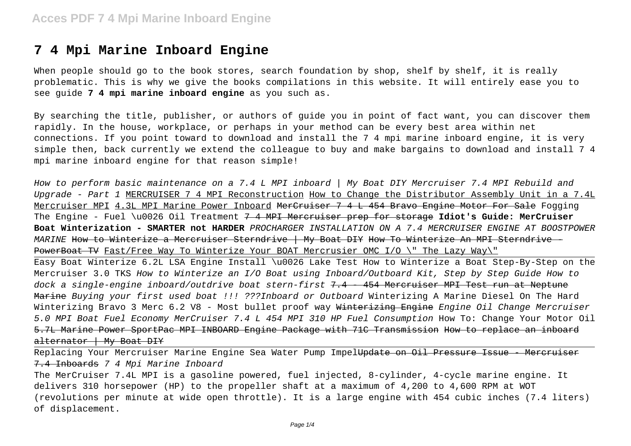### **7 4 Mpi Marine Inboard Engine**

When people should go to the book stores, search foundation by shop, shelf by shelf, it is really problematic. This is why we give the books compilations in this website. It will entirely ease you to see guide **7 4 mpi marine inboard engine** as you such as.

By searching the title, publisher, or authors of guide you in point of fact want, you can discover them rapidly. In the house, workplace, or perhaps in your method can be every best area within net connections. If you point toward to download and install the 7 4 mpi marine inboard engine, it is very simple then, back currently we extend the colleague to buy and make bargains to download and install 7 4 mpi marine inboard engine for that reason simple!

How to perform basic maintenance on a 7.4 L MPI inboard | My Boat DIY Mercruiser 7.4 MPI Rebuild and Upgrade - Part 1 MERCRUISER 7 4 MPI Reconstruction How to Change the Distributor Assembly Unit in a 7.4L Mercruiser MPI 4.3L MPI Marine Power Inboard MerCruiser 7 4 L 454 Bravo Engine Motor For Sale Fogging The Engine - Fuel \u0026 Oil Treatment 7 4 MPI Mercruiser prep for storage **Idiot's Guide: MerCruiser Boat Winterization - SMARTER not HARDER** PROCHARGER INSTALLATION ON A 7.4 MERCRUISER ENGINE AT BOOSTPOWER MARINE How to Winterize a Mercruiser Sterndrive | My Boat DIY How To Winterize An MPI Sterndrive -PowerBoat TV Fast/Free Way To Winterize Your BOAT Mercrusier OMC I/O \" The Lazy Way\"

Easy Boat Winterize 6.2L LSA Engine Install \u0026 Lake Test How to Winterize a Boat Step-By-Step on the Mercruiser 3.0 TKS How to Winterize an I/O Boat using Inboard/Outboard Kit, Step by Step Guide How to dock a single-engine inboard/outdrive boat stern-first 7.4 - 454 Mercruiser MPI Test run at Neptune Marine Buying your first used boat !!! ???Inboard or Outboard Winterizing A Marine Diesel On The Hard Winterizing Bravo 3 Merc 6.2 V8 - Most bullet proof way Winterizing Engine Engine Oil Change Mercruiser 5.0 MPI Boat Fuel Economy MerCruiser 7.4 L 454 MPI 310 HP Fuel Consumption How To: Change Your Motor Oil 5.7L Marine Power SportPac MPI INBOARD Engine Package with 71C Transmission How to replace an inboard alternator | My Boat DIY

Replacing Your Mercruiser Marine Engine Sea Water Pump Impel<del>Update on Oil Pressure Issue - Mercruiser</del> 7.4 Inboards 7 4 Mpi Marine Inboard The MerCruiser 7.4L MPI is a gasoline powered, fuel injected, 8-cylinder, 4-cycle marine engine. It delivers 310 horsepower (HP) to the propeller shaft at a maximum of 4,200 to 4,600 RPM at WOT (revolutions per minute at wide open throttle). It is a large engine with 454 cubic inches (7.4 liters) of displacement.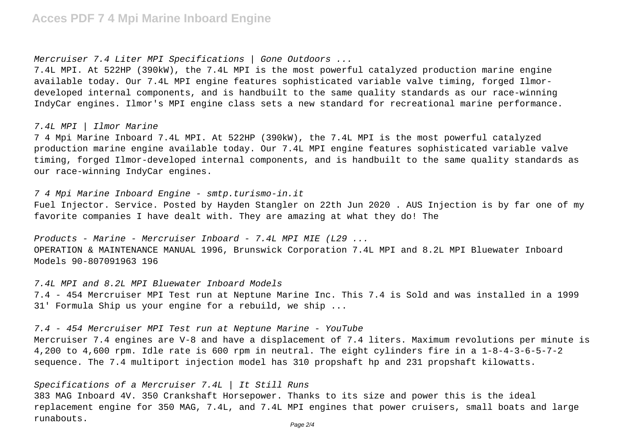#### Mercruiser 7.4 Liter MPI Specifications | Gone Outdoors ...

7.4L MPI. At 522HP (390kW), the 7.4L MPI is the most powerful catalyzed production marine engine available today. Our 7.4L MPI engine features sophisticated variable valve timing, forged Ilmordeveloped internal components, and is handbuilt to the same quality standards as our race-winning IndyCar engines. Ilmor's MPI engine class sets a new standard for recreational marine performance.

#### 7.4L MPI | Ilmor Marine

7 4 Mpi Marine Inboard 7.4L MPI. At 522HP (390kW), the 7.4L MPI is the most powerful catalyzed production marine engine available today. Our 7.4L MPI engine features sophisticated variable valve timing, forged Ilmor-developed internal components, and is handbuilt to the same quality standards as our race-winning IndyCar engines.

7 4 Mpi Marine Inboard Engine - smtp.turismo-in.it

Fuel Injector. Service. Posted by Hayden Stangler on 22th Jun 2020 . AUS Injection is by far one of my favorite companies I have dealt with. They are amazing at what they do! The

Products - Marine - Mercruiser Inboard - 7.4L MPI MIE (L29 ... OPERATION & MAINTENANCE MANUAL 1996, Brunswick Corporation 7.4L MPI and 8.2L MPI Bluewater Inboard Models 90-807091963 196

7.4L MPI and 8.2L MPI Bluewater Inboard Models 7.4 - 454 Mercruiser MPI Test run at Neptune Marine Inc. This 7.4 is Sold and was installed in a 1999 31' Formula Ship us your engine for a rebuild, we ship ...

7.4 - 454 Mercruiser MPI Test run at Neptune Marine - YouTube

Mercruiser 7.4 engines are V-8 and have a displacement of 7.4 liters. Maximum revolutions per minute is 4,200 to 4,600 rpm. Idle rate is 600 rpm in neutral. The eight cylinders fire in a 1-8-4-3-6-5-7-2 sequence. The 7.4 multiport injection model has 310 propshaft hp and 231 propshaft kilowatts.

### Specifications of a Mercruiser 7.4L | It Still Runs

383 MAG Inboard 4V. 350 Crankshaft Horsepower. Thanks to its size and power this is the ideal replacement engine for 350 MAG, 7.4L, and 7.4L MPI engines that power cruisers, small boats and large runabouts.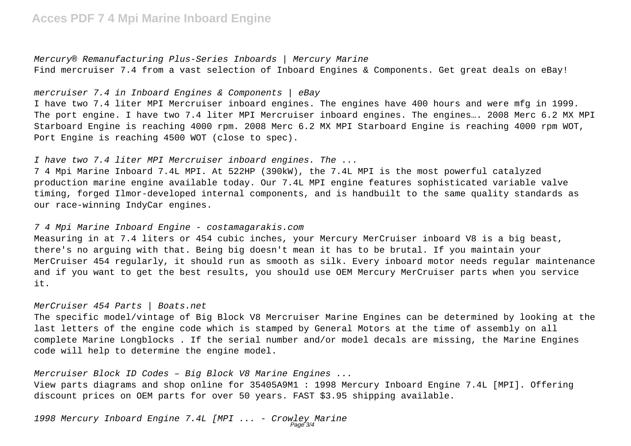# **Acces PDF 7 4 Mpi Marine Inboard Engine**

Mercury® Remanufacturing Plus-Series Inboards | Mercury Marine Find mercruiser 7.4 from a vast selection of Inboard Engines & Components. Get great deals on eBay!

mercruiser 7.4 in Inboard Engines & Components  $|$  eBay

I have two 7.4 liter MPI Mercruiser inboard engines. The engines have 400 hours and were mfg in 1999. The port engine. I have two 7.4 liter MPI Mercruiser inboard engines. The engines…. 2008 Merc 6.2 MX MPI Starboard Engine is reaching 4000 rpm. 2008 Merc 6.2 MX MPI Starboard Engine is reaching 4000 rpm WOT, Port Engine is reaching 4500 WOT (close to spec).

I have two 7.4 liter MPI Mercruiser inboard engines. The ...

7 4 Mpi Marine Inboard 7.4L MPI. At 522HP (390kW), the 7.4L MPI is the most powerful catalyzed production marine engine available today. Our 7.4L MPI engine features sophisticated variable valve timing, forged Ilmor-developed internal components, and is handbuilt to the same quality standards as our race-winning IndyCar engines.

#### 7 4 Mpi Marine Inboard Engine - costamagarakis.com

Measuring in at 7.4 liters or 454 cubic inches, your Mercury MerCruiser inboard V8 is a big beast, there's no arguing with that. Being big doesn't mean it has to be brutal. If you maintain your MerCruiser 454 regularly, it should run as smooth as silk. Every inboard motor needs regular maintenance and if you want to get the best results, you should use OEM Mercury MerCruiser parts when you service it.

#### MerCruiser 454 Parts | Boats.net

The specific model/vintage of Big Block V8 Mercruiser Marine Engines can be determined by looking at the last letters of the engine code which is stamped by General Motors at the time of assembly on all complete Marine Longblocks . If the serial number and/or model decals are missing, the Marine Engines code will help to determine the engine model.

Mercruiser Block ID Codes – Big Block V8 Marine Engines ...

View parts diagrams and shop online for 35405A9M1 : 1998 Mercury Inboard Engine 7.4L [MPI]. Offering discount prices on OEM parts for over 50 years. FAST \$3.95 shipping available.

1998 Mercury Inboard Engine 7.4L [MPI ... - Crowley Marine Page 3/4